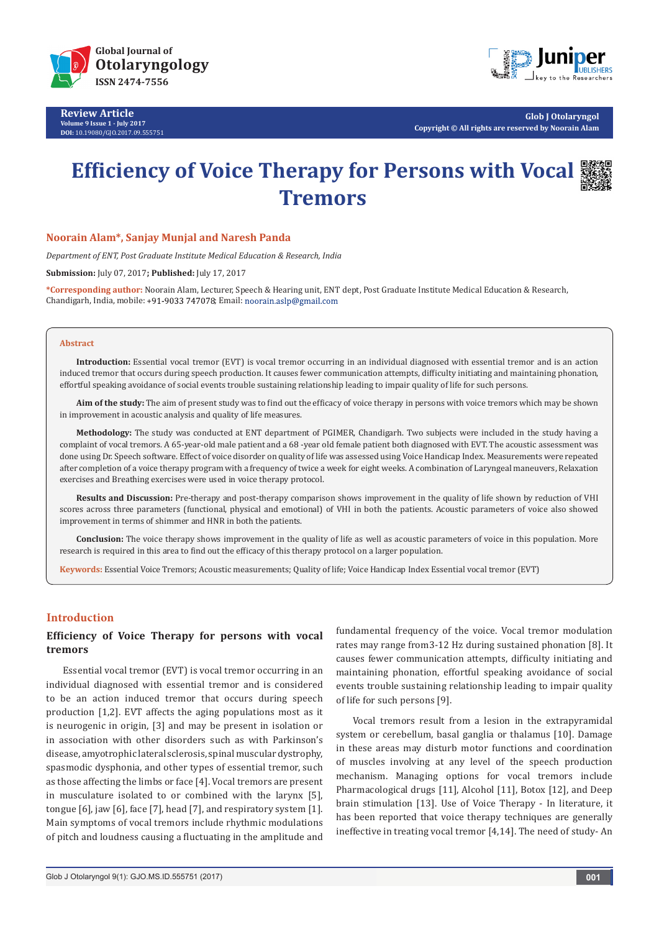

**Review Article Volume 9 Issue 1 - July 2017 DOI:** [10.19080/GJO.2017.09.555751](http://dx.doi.org/10.19080/GJO.2017.09.555751)



**Glob J Otolaryngol Copyright © All rights are reserved by Noorain Alam**

# **Efficiency of Voice Therapy for Persons with Vocal Tremors**



## **Noorain Alam\*, Sanjay Munjal and Naresh Panda**

*Department of ENT, Post Graduate Institute Medical Education & Research, India* 

**Submission:** July 07, 2017**; Published:** July 17, 2017

**\*Corresponding author:** Noorain Alam, Lecturer, Speech & Hearing unit, ENT dept, Post Graduate Institute Medical Education & Research, Chandigarh, India, mobile: +91-9033 747078; Email: noorain.aslp@gmail.com

#### **Abstract**

**Introduction:** Essential vocal tremor (EVT) is vocal tremor occurring in an individual diagnosed with essential tremor and is an action induced tremor that occurs during speech production. It causes fewer communication attempts, difficulty initiating and maintaining phonation, effortful speaking avoidance of social events trouble sustaining relationship leading to impair quality of life for such persons.

Aim of the study: The aim of present study was to find out the efficacy of voice therapy in persons with voice tremors which may be shown in improvement in acoustic analysis and quality of life measures.

**Methodology:** The study was conducted at ENT department of PGIMER, Chandigarh. Two subjects were included in the study having a complaint of vocal tremors. A 65-year-old male patient and a 68 -year old female patient both diagnosed with EVT. The acoustic assessment was done using Dr. Speech software. Effect of voice disorder on quality of life was assessed using Voice Handicap Index. Measurements were repeated after completion of a voice therapy program with a frequency of twice a week for eight weeks. A combination of Laryngeal maneuvers, Relaxation exercises and Breathing exercises were used in voice therapy protocol.

**Results and Discussion:** Pre-therapy and post-therapy comparison shows improvement in the quality of life shown by reduction of VHI scores across three parameters (functional, physical and emotional) of VHI in both the patients. Acoustic parameters of voice also showed improvement in terms of shimmer and HNR in both the patients.

**Conclusion:** The voice therapy shows improvement in the quality of life as well as acoustic parameters of voice in this population. More research is required in this area to find out the efficacy of this therapy protocol on a larger population.

**Keywords:** Essential Voice Tremors; Acoustic measurements; Quality of life; Voice Handicap Index Essential vocal tremor (EVT)

## **Introduction**

## **Efficiency of Voice Therapy for persons with vocal tremors**

Essential vocal tremor (EVT) is vocal tremor occurring in an individual diagnosed with essential tremor and is considered to be an action induced tremor that occurs during speech production [1,2]. EVT affects the aging populations most as it is neurogenic in origin, [3] and may be present in isolation or in association with other disorders such as with Parkinson's disease, amyotrophic lateral sclerosis, spinal muscular dystrophy, spasmodic dysphonia, and other types of essential tremor, such as those affecting the limbs or face [4]. Vocal tremors are present in musculature isolated to or combined with the larynx [5], tongue [6], jaw [6], face [7], head [7], and respiratory system [1]. Main symptoms of vocal tremors include rhythmic modulations of pitch and loudness causing a fluctuating in the amplitude and

fundamental frequency of the voice. Vocal tremor modulation rates may range from3-12 Hz during sustained phonation [8]. It causes fewer communication attempts, difficulty initiating and maintaining phonation, effortful speaking avoidance of social events trouble sustaining relationship leading to impair quality of life for such persons [9].

Vocal tremors result from a lesion in the extrapyramidal system or cerebellum, basal ganglia or thalamus [10]. Damage in these areas may disturb motor functions and coordination of muscles involving at any level of the speech production mechanism. Managing options for vocal tremors include Pharmacological drugs [11], Alcohol [11], Botox [12], and Deep brain stimulation [13]. Use of Voice Therapy - In literature, it has been reported that voice therapy techniques are generally ineffective in treating vocal tremor [4,14]. The need of study- An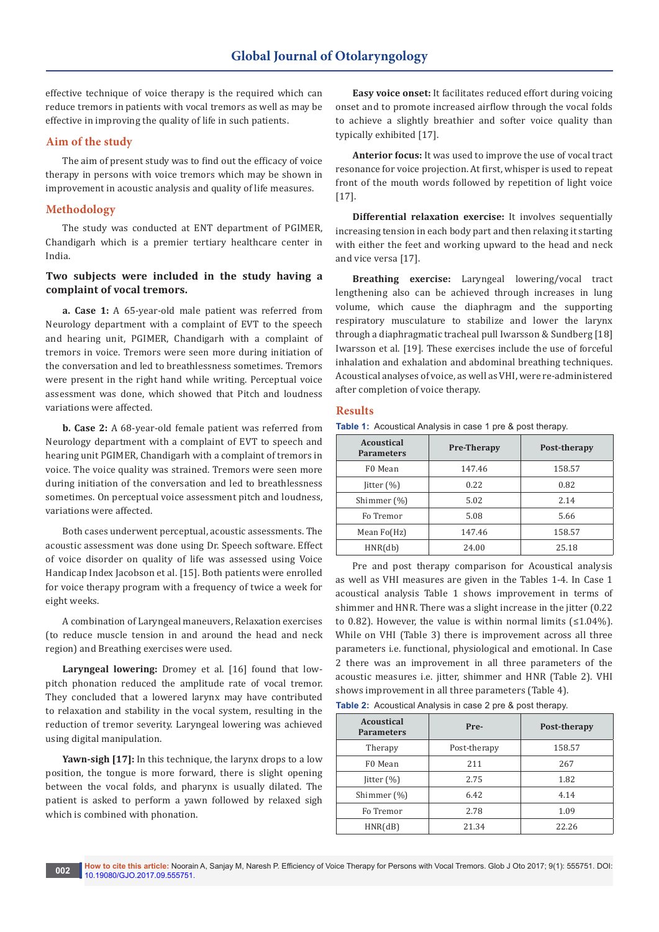effective technique of voice therapy is the required which can reduce tremors in patients with vocal tremors as well as may be effective in improving the quality of life in such patients.

## **Aim of the study**

The aim of present study was to find out the efficacy of voice therapy in persons with voice tremors which may be shown in improvement in acoustic analysis and quality of life measures.

## **Methodology**

The study was conducted at ENT department of PGIMER, Chandigarh which is a premier tertiary healthcare center in India.

# **Two subjects were included in the study having a complaint of vocal tremors.**

**a. Case 1:** A 65-year-old male patient was referred from Neurology department with a complaint of EVT to the speech and hearing unit, PGIMER, Chandigarh with a complaint of tremors in voice. Tremors were seen more during initiation of the conversation and led to breathlessness sometimes. Tremors were present in the right hand while writing. Perceptual voice assessment was done, which showed that Pitch and loudness variations were affected.

**b. Case 2:** A 68-year-old female patient was referred from Neurology department with a complaint of EVT to speech and hearing unit PGIMER, Chandigarh with a complaint of tremors in voice. The voice quality was strained. Tremors were seen more during initiation of the conversation and led to breathlessness sometimes. On perceptual voice assessment pitch and loudness, variations were affected.

Both cases underwent perceptual, acoustic assessments. The acoustic assessment was done using Dr. Speech software. Effect of voice disorder on quality of life was assessed using Voice Handicap Index Jacobson et al. [15]. Both patients were enrolled for voice therapy program with a frequency of twice a week for eight weeks.

A combination of Laryngeal maneuvers, Relaxation exercises (to reduce muscle tension in and around the head and neck region) and Breathing exercises were used.

**Laryngeal lowering:** Dromey et al. [16] found that lowpitch phonation reduced the amplitude rate of vocal tremor. They concluded that a lowered larynx may have contributed to relaxation and stability in the vocal system, resulting in the reduction of tremor severity. Laryngeal lowering was achieved using digital manipulation.

Yawn-sigh [17]: In this technique, the larynx drops to a low position, the tongue is more forward, there is slight opening between the vocal folds, and pharynx is usually dilated. The patient is asked to perform a yawn followed by relaxed sigh which is combined with phonation.

**Easy voice onset:** It facilitates reduced effort during voicing onset and to promote increased airflow through the vocal folds to achieve a slightly breathier and softer voice quality than typically exhibited [17].

**Anterior focus:** It was used to improve the use of vocal tract resonance for voice projection. At first, whisper is used to repeat front of the mouth words followed by repetition of light voice [17].

**Differential relaxation exercise:** It involves sequentially increasing tension in each body part and then relaxing it starting with either the feet and working upward to the head and neck and vice versa [17].

**Breathing exercise:** Laryngeal lowering/vocal tract lengthening also can be achieved through increases in lung volume, which cause the diaphragm and the supporting respiratory musculature to stabilize and lower the larynx through a diaphragmatic tracheal pull Iwarsson & Sundberg [18] Iwarsson et al. [19]. These exercises include the use of forceful inhalation and exhalation and abdominal breathing techniques. Acoustical analyses of voice, as well as VHI, were re-administered after completion of voice therapy.

## **Results**

**Table 1:** Acoustical Analysis in case 1 pre & post therapy.

| Acoustical<br><b>Parameters</b> | <b>Pre-Therapy</b> | Post-therapy |
|---------------------------------|--------------------|--------------|
| F0 Mean                         | 147.46             | 158.57       |
| $\text{litter}(\%)$             | 0.22               | 0.82         |
| Shimmer (%)                     | 5.02               | 2.14         |
| Fo Tremor                       | 5.08               | 5.66         |
| Mean Fo(Hz)                     | 147.46             | 158.57       |
| HNR(db)                         | 24.00              | 25.18        |

Pre and post therapy comparison for Acoustical analysis as well as VHI measures are given in the Tables 1-4. In Case 1 acoustical analysis Table 1 shows improvement in terms of shimmer and HNR. There was a slight increase in the jitter (0.22 to 0.82). However, the value is within normal limits  $(1.04\%)$ . While on VHI (Table 3) there is improvement across all three parameters i.e. functional, physiological and emotional. In Case 2 there was an improvement in all three parameters of the acoustic measures i.e. jitter, shimmer and HNR (Table 2). VHI shows improvement in all three parameters (Table 4).

**Table 2:** Acoustical Analysis in case 2 pre & post therapy.

| <b>Acoustical</b><br><b>Parameters</b> | Pre-         | Post-therapy |
|----------------------------------------|--------------|--------------|
| Therapy                                | Post-therapy | 158.57       |
| F0 Mean                                | 211          | 267          |
| $\text{litter}(\%)$                    | 2.75         | 1.82         |
| Shimmer (%)                            | 6.42         | 4.14         |
| Fo Tremor                              | 2.78         | 1.09         |
| HNR(dB)                                | 21.34        | 22.26        |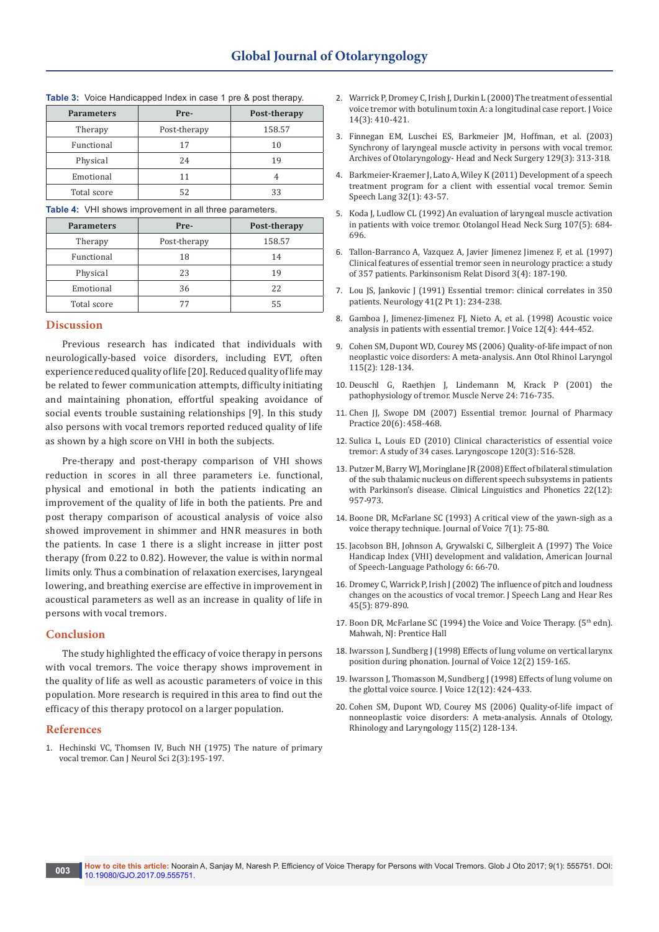| <b>Parameters</b> | Pre-         | Post-therapy |
|-------------------|--------------|--------------|
| Therapy           | Post-therapy | 158.57       |
| Functional        | 17           | 10           |
| Physical          | 24           | 19           |
| Emotional         | 11           |              |
| Total score       |              | 33           |

#### **Table 3:** Voice Handicapped Index in case 1 pre & post therapy.

**Table 4:** VHI shows improvement in all three parameters.

| <b>Parameters</b> | Pre-         | Post-therapy |  |
|-------------------|--------------|--------------|--|
| Therapy           | Post-therapy | 158.57       |  |
| Functional        | 18           | 14           |  |
| Physical          | 23           | 19           |  |
| Emotional         | 36           | 22           |  |
| Total score       | 77           | 55           |  |

#### **Discussion**

Previous research has indicated that individuals with neurologically-based voice disorders, including EVT, often experience reduced quality of life [20]. Reduced quality of life may be related to fewer communication attempts, difficulty initiating and maintaining phonation, effortful speaking avoidance of social events trouble sustaining relationships [9]. In this study also persons with vocal tremors reported reduced quality of life as shown by a high score on VHI in both the subjects.

Pre-therapy and post-therapy comparison of VHI shows reduction in scores in all three parameters i.e. functional, physical and emotional in both the patients indicating an improvement of the quality of life in both the patients. Pre and post therapy comparison of acoustical analysis of voice also showed improvement in shimmer and HNR measures in both the patients. In case 1 there is a slight increase in jitter post therapy (from 0.22 to 0.82). However, the value is within normal limits only. Thus a combination of relaxation exercises, laryngeal lowering, and breathing exercise are effective in improvement in acoustical parameters as well as an increase in quality of life in persons with vocal tremors.

## **Conclusion**

The study highlighted the efficacy of voice therapy in persons with vocal tremors. The voice therapy shows improvement in the quality of life as well as acoustic parameters of voice in this population. More research is required in this area to find out the efficacy of this therapy protocol on a larger population.

#### **References**

1. [Hechinski VC, Thomsen IV, Buch NH \(1975\) The nature of primary](https://www.ncbi.nlm.nih.gov/pubmed/1175102)  [vocal tremor. Can J Neurol Sci 2\(3\):195-197.](https://www.ncbi.nlm.nih.gov/pubmed/1175102)

- 2. [Warrick P, Dromey C, Irish J, Durkin L \(2000\) The treatment of essential](https://www.researchgate.net/publication/12301335_The_treatment_of_essential_voice_tremor_with_botulinum_toxin_A_A_longitudinal_case_report)  [voice tremor with botulinum toxin A: a longitudinal case report. J Voice](https://www.researchgate.net/publication/12301335_The_treatment_of_essential_voice_tremor_with_botulinum_toxin_A_A_longitudinal_case_report)  [14\(3\): 410-421](https://www.researchgate.net/publication/12301335_The_treatment_of_essential_voice_tremor_with_botulinum_toxin_A_A_longitudinal_case_report).
- 3. [Finnegan EM, Luschei ES, Barkmeier JM, Hoffman, et al. \(2003\)](https://www.ncbi.nlm.nih.gov/pubmed/12622540)  [Synchrony of laryngeal muscle activity in persons with vocal tremor.](https://www.ncbi.nlm.nih.gov/pubmed/12622540)  [Archives of Otolaryngology- Head and Neck Surgery 129\(3\): 313-318.](https://www.ncbi.nlm.nih.gov/pubmed/12622540)
- 4. [Barkmeier-Kraemer J, Lato A, Wiley K \(2011\) Development of a speech](https://www.ncbi.nlm.nih.gov/pubmed/21491358)  [treatment program for a client with essential vocal tremor. Semin](https://www.ncbi.nlm.nih.gov/pubmed/21491358)  [Speech Lang 32\(1\): 43-57.](https://www.ncbi.nlm.nih.gov/pubmed/21491358)
- 5. [Koda J, Ludlow CL \(1992\) An evaluation of laryngeal muscle activation](https://www.ncbi.nlm.nih.gov/pubmed/1437206)  [in patients with voice tremor. Otolangol Head Neck Surg 107\(5\): 684-](https://www.ncbi.nlm.nih.gov/pubmed/1437206) [696.](https://www.ncbi.nlm.nih.gov/pubmed/1437206)
- 6. [Tallon-Barranco A, Vazquez A, Javier Jimenez Jimenez F, et al. \(1997\)](http://www.sciencedirect.com/science/article/pii/S135380209700031X)  [Clinical features of essential tremor seen in neurology practice: a study](http://www.sciencedirect.com/science/article/pii/S135380209700031X)  [of 357 patients. Parkinsonism Relat Disord 3\(4\): 187-190.](http://www.sciencedirect.com/science/article/pii/S135380209700031X)
- 7. [Lou JS, Jankovic J \(1991\) Essential tremor: clinical correlates in 350](https://www.ncbi.nlm.nih.gov/pubmed/1992367)  [patients. Neurology 41\(2 Pt 1\): 234-238.](https://www.ncbi.nlm.nih.gov/pubmed/1992367)
- 8. [Gamboa J, Jimenez-Jimenez FJ, Nieto A, et al. \(1998\) Acoustic voice](https://www.ncbi.nlm.nih.gov/pubmed/9988031)  [analysis in patients with essential tremor. J Voice 12\(4\): 444-452.](https://www.ncbi.nlm.nih.gov/pubmed/9988031)
- 9. [Cohen SM, Dupont WD, Courey MS \(2006\) Quality-of-life impact of non](https://www.ncbi.nlm.nih.gov/pubmed/16514796)  [neoplastic voice disorders: A meta-analysis. Ann Otol Rhinol Laryngol](https://www.ncbi.nlm.nih.gov/pubmed/16514796)  [115\(2\): 128-134.](https://www.ncbi.nlm.nih.gov/pubmed/16514796)
- 10. [Deuschl G, Raethjen J, Lindemann M, Krack P \(2001\) the](https://www.ncbi.nlm.nih.gov/pubmed/11360255)  [pathophysiology of tremor. Muscle Nerve 24: 716-735.](https://www.ncbi.nlm.nih.gov/pubmed/11360255)
- 11. Chen JJ, Swope DM (2007) Essential tremor. Journal of Pharmacy [Practice 20\(6\): 458-468.](http://journals.sagepub.com/doi/abs/10.1177/0897190007311453)
- 12. [Sulica L, Louis ED \(2010\) Clinical characteristics of essential voice](https://www.ncbi.nlm.nih.gov/pubmed/20066728)  [tremor: A study of 34 cases. Laryngoscope 120\(3\): 516-528.](https://www.ncbi.nlm.nih.gov/pubmed/20066728)
- 13. [Putzer M, Barry WJ, Moringlane JR \(2008\) Effect of bilateral stimulation](http://www.tandfonline.com/doi/abs/10.1080/02699200802394823)  [of the sub thalamic nucleus on different speech subsystems in patients](http://www.tandfonline.com/doi/abs/10.1080/02699200802394823)  [with Parkinson's disease. Clinical Linguistics and Phonetics 22\(12\):](http://www.tandfonline.com/doi/abs/10.1080/02699200802394823)  [957-973.](http://www.tandfonline.com/doi/abs/10.1080/02699200802394823)
- 14. [Boone DR, McFarlane SC \(1993\) A critical view of the yawn-sigh as a](https://www.ncbi.nlm.nih.gov/pubmed/8353622)  [voice therapy technique. Journal of Voice 7\(1\): 75-80.](https://www.ncbi.nlm.nih.gov/pubmed/8353622)
- 15. [Jacobson BH, Johnson A, Grywalski C, Silbergleit A \(1997\) The Voice](http://ajslp.pubs.asha.org/article.aspx?articleid=1774592)  [Handicap Index \(VHI\) development and validation, American Journal](http://ajslp.pubs.asha.org/article.aspx?articleid=1774592)  [of Speech-Language Pathology 6: 66-70.](http://ajslp.pubs.asha.org/article.aspx?articleid=1774592)
- 16. [Dromey C, Warrick P, Irish J \(2002\) The influence of pitch and loudness](https://www.ncbi.nlm.nih.gov/pubmed/12381046)  [changes on the acoustics of vocal tremor. J Speech Lang and Hear Res](https://www.ncbi.nlm.nih.gov/pubmed/12381046)  [45\(5\): 879-890.](https://www.ncbi.nlm.nih.gov/pubmed/12381046)
- 17. Boon DR, McFarlane SC (1994) the Voice and Voice Therapy. (5<sup>th</sup> edn). Mahwah, NJ: Prentice Hall
- 18. [Iwarsson J, Sundberg J \(1998\) Effects of lung volume on vertical larynx](http://www.jvoice.org/article/S0892-1997(98)80035-0/abstract)  [position during phonation. Journal of Voice 12\(2\) 159-165.](http://www.jvoice.org/article/S0892-1997(98)80035-0/abstract)
- 19. [Iwarsson J, Thomasson M, Sundberg J \(1998\) Effects of lung volume on](https://www.ncbi.nlm.nih.gov/pubmed/9988029)  [the glottal voice source. J Voice 12\(12\): 424-433.](https://www.ncbi.nlm.nih.gov/pubmed/9988029)
- 20. Cohen SM, Dupont WD, Courey MS (2006) Quality-of-life impact of nonneoplastic voice disorders: A meta-analysis. Annals of Otology, Rhinology and Laryngology 115(2) 128-134.